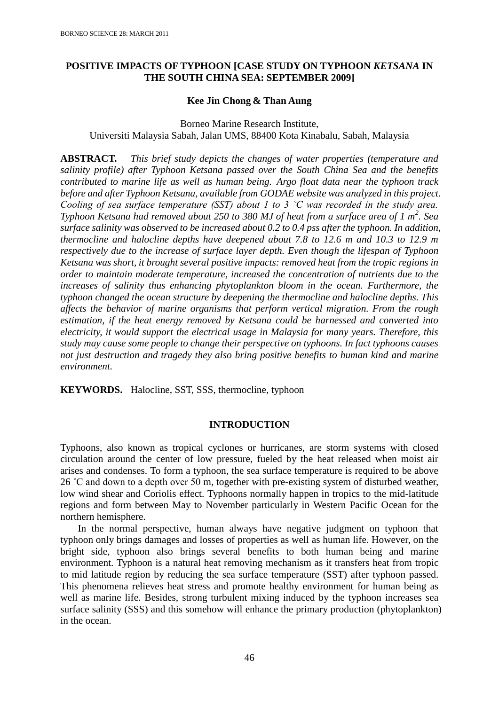# **POSITIVE IMPACTS OF TYPHOON [CASE STUDY ON TYPHOON** *KETSANA* **IN THE SOUTH CHINA SEA: SEPTEMBER 2009]**

## **Kee Jin Chong & Than Aung**

Borneo Marine Research Institute, Universiti Malaysia Sabah, Jalan UMS, 88400 Kota Kinabalu, Sabah, Malaysia

**ABSTRACT.** *This brief study depicts the changes of water properties (temperature and salinity profile) after Typhoon Ketsana passed over the South China Sea and the benefits contributed to marine life as well as human being. Argo float data near the typhoon track before and after Typhoon Ketsana, available from GODAE website was analyzed in this project. Cooling of sea surface temperature (SST) about 1 to 3 ˚C was recorded in the study area. Typhoon Ketsana had removed about 250 to 380 MJ of heat from a surface area of 1 m<sup>2</sup> . Sea surface salinity was observed to be increased about 0.2 to 0.4 pss after the typhoon. In addition, thermocline and halocline depths have deepened about 7.8 to 12.6 m and 10.3 to 12.9 m respectively due to the increase of surface layer depth. Even though the lifespan of Typhoon Ketsana was short, it brought several positive impacts: removed heat from the tropic regions in order to maintain moderate temperature, increased the concentration of nutrients due to the increases of salinity thus enhancing phytoplankton bloom in the ocean. Furthermore, the typhoon changed the ocean structure by deepening the thermocline and halocline depths. This affects the behavior of marine organisms that perform vertical migration. From the rough estimation, if the heat energy removed by Ketsana could be harnessed and converted into electricity, it would support the electrical usage in Malaysia for many years. Therefore, this study may cause some people to change their perspective on typhoons. In fact typhoons causes not just destruction and tragedy they also bring positive benefits to human kind and marine environment.*

**KEYWORDS.** Halocline, SST, SSS, thermocline, typhoon

# **INTRODUCTION**

Typhoons, also known as tropical cyclones or hurricanes, are storm systems with closed circulation around the center of low pressure, fueled by the heat released when moist air arises and condenses. To form a typhoon, the sea surface temperature is required to be above 26 ˚C and down to a depth over 50 m, together with pre-existing system of disturbed weather, low wind shear and Coriolis effect. Typhoons normally happen in tropics to the mid-latitude regions and form between May to November particularly in Western Pacific Ocean for the northern hemisphere.

In the normal perspective, human always have negative judgment on typhoon that typhoon only brings damages and losses of properties as well as human life. However, on the bright side, typhoon also brings several benefits to both human being and marine environment. Typhoon is a natural heat removing mechanism as it transfers heat from tropic to mid latitude region by reducing the sea surface temperature (SST) after typhoon passed. This phenomena relieves heat stress and promote healthy environment for human being as well as marine life. Besides, strong turbulent mixing induced by the typhoon increases sea surface salinity (SSS) and this somehow will enhance the primary production (phytoplankton) in the ocean.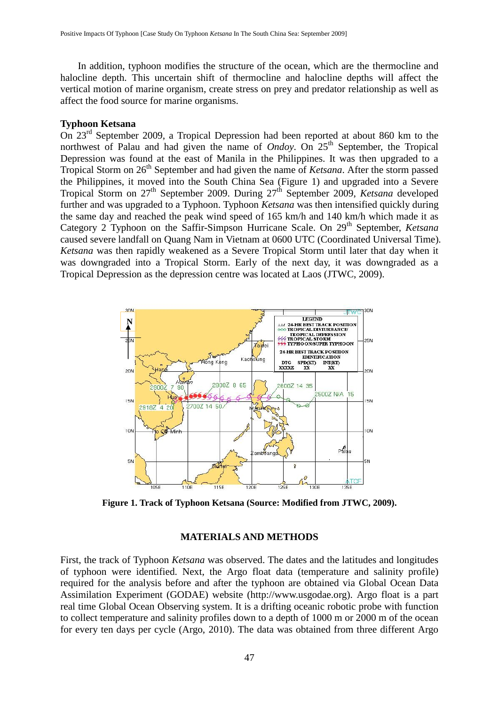In addition, typhoon modifies the structure of the ocean, which are the thermocline and halocline depth. This uncertain shift of thermocline and halocline depths will affect the vertical motion of marine organism, create stress on prey and predator relationship as well as affect the food source for marine organisms.

#### **Typhoon Ketsana**

On 23rd September 2009, a Tropical Depression had been reported at about 860 km to the northwest of Palau and had given the name of *Ondoy*. On 25<sup>th</sup> September, the Tropical Depression was found at the east of Manila in the Philippines. It was then upgraded to a Tropical Storm on 26<sup>th</sup> September and had given the name of *Ketsana*. After the storm passed the Philippines, it moved into the South China Sea (Figure 1) and upgraded into a Severe Tropical Storm on 27th September 2009. During 27th September 2009, *Ketsana* developed further and was upgraded to a Typhoon. Typhoon *Ketsana* was then intensified quickly during the same day and reached the peak wind speed of 165 km/h and 140 km/h which made it as Category 2 Typhoon on the Saffir-Simpson Hurricane Scale. On 29<sup>th</sup> September, *Ketsana* caused severe landfall on Quang Nam in Vietnam at 0600 UTC (Coordinated Universal Time). *Ketsana* was then rapidly weakened as a Severe Tropical Storm until later that day when it was downgraded into a Tropical Storm. Early of the next day, it was downgraded as a Tropical Depression as the depression centre was located at Laos (JTWC, 2009).



**Figure 1. Track of Typhoon Ketsana (Source: Modified from JTWC, 2009).**

### **MATERIALS AND METHODS**

First, the track of Typhoon *Ketsana* was observed. The dates and the latitudes and longitudes of typhoon were identified. Next, the Argo float data (temperature and salinity profile) required for the analysis before and after the typhoon are obtained via Global Ocean Data Assimilation Experiment (GODAE) website [\(http://www.usgodae.org\)](http://www.usgodae.org/). Argo float is a part real time Global Ocean Observing system. It is a drifting oceanic robotic probe with function to collect temperature and salinity profiles down to a depth of 1000 m or 2000 m of the ocean for every ten days per cycle (Argo, 2010). The data was obtained from three different Argo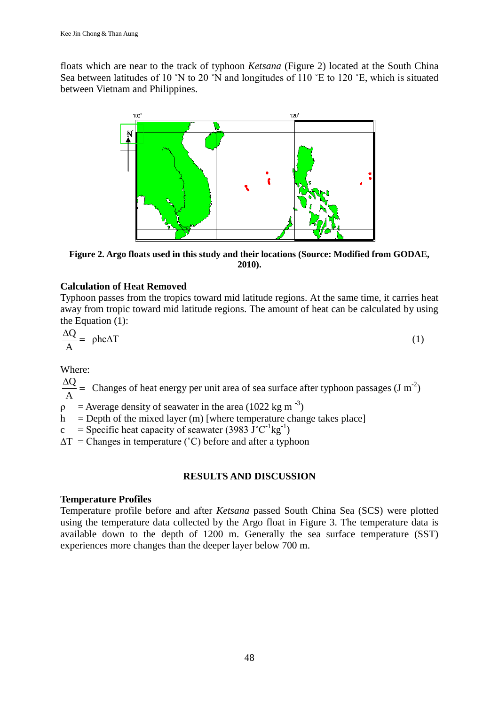floats which are near to the track of typhoon *Ketsana* (Figure 2) located at the South China Sea between latitudes of 10 °N to 20 °N and longitudes of 110 °E to 120 °E, which is situated between Vietnam and Philippines.



**Figure 2. Argo floats used in this study and their locations (Source: Modified from GODAE, 2010).**

# **Calculation of Heat Removed**

Typhoon passes from the tropics toward mid latitude regions. At the same time, it carries heat away from tropic toward mid latitude regions. The amount of heat can be calculated by using the Equation (1):

$$
\frac{\Delta Q}{A} = \rho h c \Delta T \tag{1}
$$

Where:

 $\frac{\Delta Q}{\Delta t}$  = Changes of heat energy per unit area of sea surface after typhoon passages (J m<sup>-2</sup>) A

 $\rho$  = Average density of seawater in the area (1022 kg m<sup>-3</sup>)

- $h =$  Depth of the mixed layer (m) [where temperature change takes place]
- c = Specific heat capacity of seawater (3983  $J^{\circ}C^{-1}kg^{-1}$ )
- $\Delta T$  = Changes in temperature (°C) before and after a typhoon

# **RESULTS AND DISCUSSION**

## **Temperature Profiles**

Temperature profile before and after *Ketsana* passed South China Sea (SCS) were plotted using the temperature data collected by the Argo float in Figure 3. The temperature data is available down to the depth of 1200 m. Generally the sea surface temperature (SST) experiences more changes than the deeper layer below 700 m.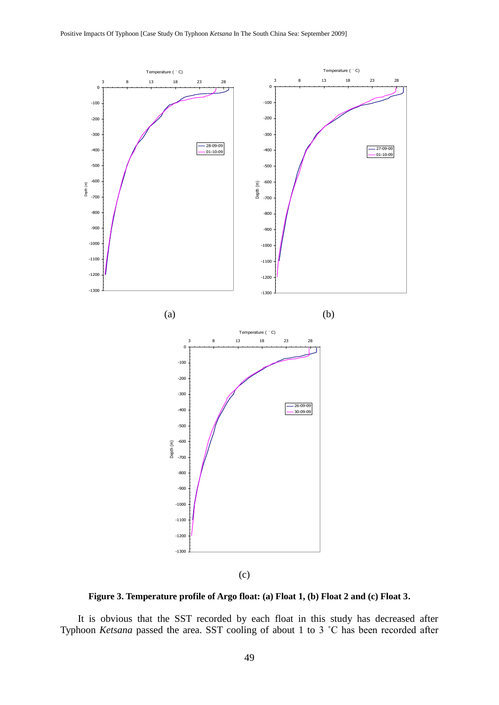

**Figure 3. Temperature profile of Argo float: (a) Float 1, (b) Float 2 and (c) Float 3.**

It is obvious that the SST recorded by each float in this study has decreased after Typhoon *Ketsana* passed the area. SST cooling of about 1 to 3 ˚C has been recorded after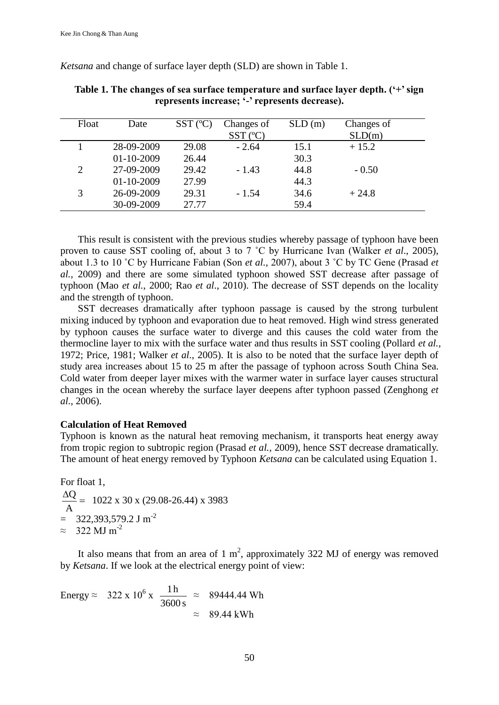*Ketsana* and change of surface layer depth (SLD) are shown in Table 1.

| Float          | Date             | $SST$ ( $^{\circ}$ C) | Changes of<br>$SST$ ( $^{\circ}$ C) | SLD(m) | Changes of<br>SLD(m) |
|----------------|------------------|-----------------------|-------------------------------------|--------|----------------------|
|                | 28-09-2009       | 29.08                 | $-2.64$                             | 15.1   | $+15.2$              |
|                | $01 - 10 - 2009$ | 26.44                 |                                     | 30.3   |                      |
| $\overline{2}$ | 27-09-2009       | 29.42                 | $-1.43$                             | 44.8   | $-0.50$              |
|                | $01 - 10 - 2009$ | 27.99                 |                                     | 44.3   |                      |
| 3              | 26-09-2009       | 29.31                 | $-1.54$                             | 34.6   | $+24.8$              |
|                | 30-09-2009       | 27.77                 |                                     | 59.4   |                      |

**Table 1. The changes of sea surface temperature and surface layer depth. ('+' sign represents increase; '-' represents decrease).**

This result is consistent with the previous studies whereby passage of typhoon have been proven to cause SST cooling of, about 3 to 7 ˚C by Hurricane Ivan (Walker *et al*., 2005), about 1.3 to 10 ˚C by Hurricane Fabian (Son *et al.,* 2007), about 3 ˚C by TC Gene (Prasad *et al.,* 2009) and there are some simulated typhoon showed SST decrease after passage of typhoon (Mao *et al.*, 2000; Rao *et al*., 2010). The decrease of SST depends on the locality and the strength of typhoon.

SST decreases dramatically after typhoon passage is caused by the strong turbulent mixing induced by typhoon and evaporation due to heat removed. High wind stress generated by typhoon causes the surface water to diverge and this causes the cold water from the thermocline layer to mix with the surface water and thus results in SST cooling (Pollard *et al.*, 1972; Price, 1981; Walker *et al*., 2005). It is also to be noted that the surface layer depth of study area increases about 15 to 25 m after the passage of typhoon across South China Sea. Cold water from deeper layer mixes with the warmer water in surface layer causes structural changes in the ocean whereby the surface layer deepens after typhoon passed (Zenghong *et al*., 2006).

### **Calculation of Heat Removed**

Typhoon is known as the natural heat removing mechanism, it transports heat energy away from tropic region to subtropic region (Prasad *et al.,* 2009), hence SST decrease dramatically. The amount of heat energy removed by Typhoon *Ketsana* can be calculated using Equation 1.

For float 1,  $\frac{\Delta Q}{\Delta t}$  = A  $\frac{Q}{Q}$  = 1022 x 30 x (29.08-26.44) x 3983  $=$  322,393,579.2 J m<sup>-2</sup>  $\approx 322$  MJ m<sup>-2</sup>

It also means that from an area of  $1 \text{ m}^2$ , approximately 322 MJ of energy was removed by *Ketsana*. If we look at the electrical energy point of view:

Energy 
$$
\approx 322 \times 10^6 \times \frac{1 \text{ h}}{3600 \text{ s}} \approx 89444.44 \text{ Wh}
$$
  
 $\approx 89.44 \text{ kWh}$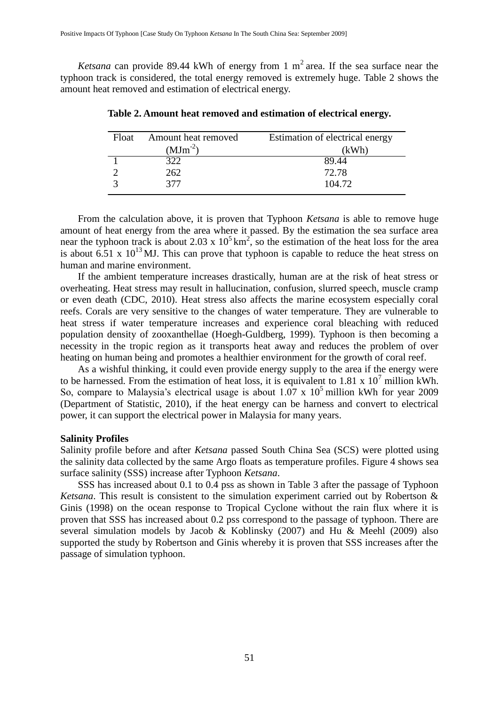*Ketsana* can provide 89.44 kWh of energy from 1  $m^2$  area. If the sea surface near the typhoon track is considered, the total energy removed is extremely huge. Table 2 shows the amount heat removed and estimation of electrical energy.

| Amount heat removed<br>Float |              | Estimation of electrical energy |  |
|------------------------------|--------------|---------------------------------|--|
|                              | $(MJm^{-2})$ | (kWh)                           |  |
|                              | 322          | 89.44                           |  |
|                              | 262          | 72.78                           |  |
|                              | 377          | 104.72                          |  |

**Table 2. Amount heat removed and estimation of electrical energy.**

From the calculation above, it is proven that Typhoon *Ketsana* is able to remove huge amount of heat energy from the area where it passed. By the estimation the sea surface area near the typhoon track is about 2.03 x  $10^5$  km<sup>2</sup>, so the estimation of the heat loss for the area is about 6.51 x  $10^{13}$  MJ. This can prove that typhoon is capable to reduce the heat stress on human and marine environment.

If the ambient temperature increases drastically, human are at the risk of heat stress or overheating. Heat stress may result in hallucination, confusion, slurred speech, muscle cramp or even death (CDC, 2010). Heat stress also affects the marine ecosystem especially coral reefs. Corals are very sensitive to the changes of water temperature. They are vulnerable to heat stress if water temperature increases and experience coral bleaching with reduced population density of zooxanthellae (Hoegh-Guldberg, 1999). Typhoon is then becoming a necessity in the tropic region as it transports heat away and reduces the problem of over heating on human being and promotes a healthier environment for the growth of coral reef.

As a wishful thinking, it could even provide energy supply to the area if the energy were to be harnessed. From the estimation of heat loss, it is equivalent to  $1.81 \times 10^7$  million kWh. So, compare to Malaysia's electrical usage is about  $1.07 \times 10^5$  million kWh for year 2009 (Department of Statistic, 2010), if the heat energy can be harness and convert to electrical power, it can support the electrical power in Malaysia for many years.

### **Salinity Profiles**

Salinity profile before and after *Ketsana* passed South China Sea (SCS) were plotted using the salinity data collected by the same Argo floats as temperature profiles. Figure 4 shows sea surface salinity (SSS) increase after Typhoon *Ketsana*.

SSS has increased about 0.1 to 0.4 pss as shown in Table 3 after the passage of Typhoon *Ketsana*. This result is consistent to the simulation experiment carried out by Robertson & Ginis (1998) on the ocean response to Tropical Cyclone without the rain flux where it is proven that SSS has increased about 0.2 pss correspond to the passage of typhoon. There are several simulation models by Jacob & Koblinsky (2007) and Hu & Meehl (2009) also supported the study by Robertson and Ginis whereby it is proven that SSS increases after the passage of simulation typhoon.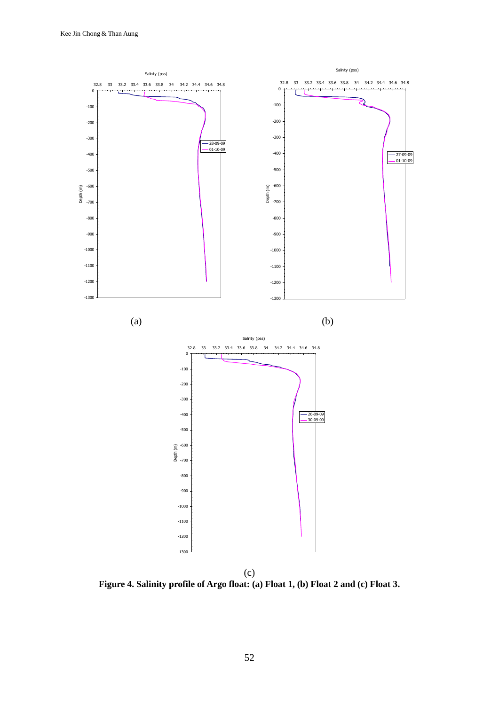

**Figure 4. Salinity profile of Argo float: (a) Float 1, (b) Float 2 and (c) Float 3.**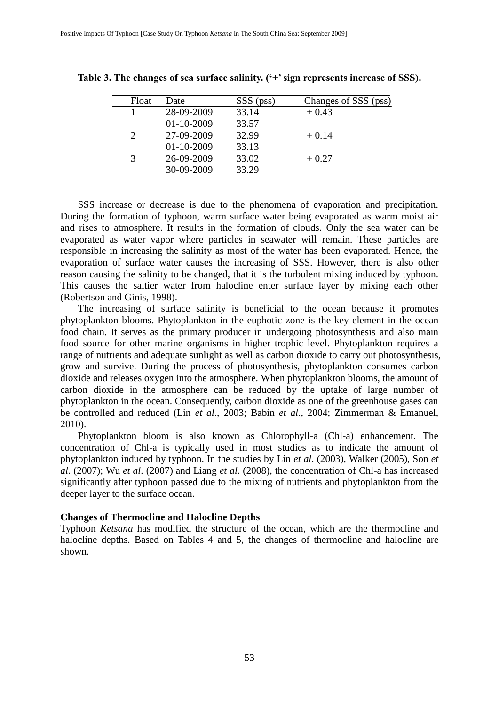| Float         | Date             | SSS (pss) | Changes of SSS (pss) |
|---------------|------------------|-----------|----------------------|
|               | 28-09-2009       | 33.14     | $+0.43$              |
|               | $01 - 10 - 2009$ | 33.57     |                      |
|               | 27-09-2009       | 32.99     | $+0.14$              |
|               | $01 - 10 - 2009$ | 33.13     |                      |
| $\mathcal{R}$ | 26-09-2009       | 33.02     | $+0.27$              |
|               | 30-09-2009       | 33.29     |                      |

**Table 3. The changes of sea surface salinity. ('+' sign represents increase of SSS).**

SSS increase or decrease is due to the phenomena of evaporation and precipitation. During the formation of typhoon, warm surface water being evaporated as warm moist air and rises to atmosphere. It results in the formation of clouds. Only the sea water can be evaporated as water vapor where particles in seawater will remain. These particles are responsible in increasing the salinity as most of the water has been evaporated. Hence, the evaporation of surface water causes the increasing of SSS. However, there is also other reason causing the salinity to be changed, that it is the turbulent mixing induced by typhoon. This causes the saltier water from halocline enter surface layer by mixing each other (Robertson and Ginis, 1998).

The increasing of surface salinity is beneficial to the ocean because it promotes phytoplankton blooms. Phytoplankton in the euphotic zone is the key element in the ocean food chain. It serves as the primary producer in undergoing photosynthesis and also main food source for other marine organisms in higher trophic level. Phytoplankton requires a range of nutrients and adequate sunlight as well as carbon dioxide to carry out photosynthesis, grow and survive. During the process of photosynthesis, phytoplankton consumes carbon dioxide and releases oxygen into the atmosphere. When phytoplankton blooms, the amount of carbon dioxide in the atmosphere can be reduced by the uptake of large number of phytoplankton in the ocean. Consequently, carbon dioxide as one of the greenhouse gases can be controlled and reduced (Lin *et al*., 2003; Babin *et al*., 2004; Zimmerman & Emanuel, 2010).

Phytoplankton bloom is also known as Chlorophyll-a (Chl-a) enhancement. The concentration of Chl-a is typically used in most studies as to indicate the amount of phytoplankton induced by typhoon. In the studies by Lin *et al*. (2003), Walker (2005), Son *et al*. (2007); Wu *et al*. (2007) and Liang *et al*. (2008), the concentration of Chl-a has increased significantly after typhoon passed due to the mixing of nutrients and phytoplankton from the deeper layer to the surface ocean.

#### **Changes of Thermocline and Halocline Depths**

Typhoon *Ketsana* has modified the structure of the ocean, which are the thermocline and halocline depths. Based on Tables 4 and 5, the changes of thermocline and halocline are shown.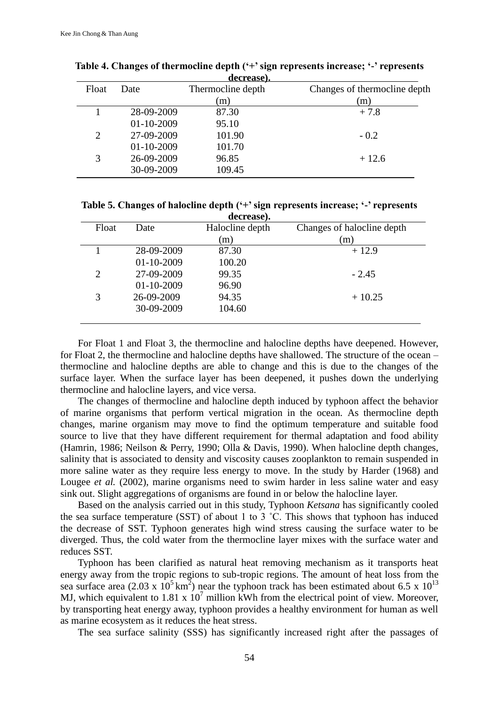|       |   |              | ucci casco.       |                              |  |
|-------|---|--------------|-------------------|------------------------------|--|
| Float |   | Date         | Thermocline depth | Changes of thermocline depth |  |
|       |   |              | (m)               | (m)                          |  |
|       |   | 28-09-2009   | 87.30             | $+7.8$                       |  |
|       |   | $01-10-2009$ | 95.10             |                              |  |
|       | 2 | 27-09-2009   | 101.90            | $-0.2$                       |  |
|       |   | 01-10-2009   | 101.70            |                              |  |
|       | 3 | 26-09-2009   | 96.85             | $+12.6$                      |  |
|       |   | 30-09-2009   | 109.45            |                              |  |
|       |   |              |                   |                              |  |

**Table 4. Changes of thermocline depth ('+' sign represents increase; '-' represents decrease).**

**Table 5. Changes of halocline depth ('+' sign represents increase; '-' represents decrease).**

|       |                  | <u>uvuvuvi</u>  |                            |
|-------|------------------|-----------------|----------------------------|
| Float | Date             | Halocline depth | Changes of halocline depth |
|       |                  | (m)             | (m)                        |
|       | 28-09-2009       | 87.30           | $+12.9$                    |
|       | $01 - 10 - 2009$ | 100.20          |                            |
| 2     | 27-09-2009       | 99.35           | $-2.45$                    |
|       | $01 - 10 - 2009$ | 96.90           |                            |
|       | 26-09-2009       | 94.35           | $+10.25$                   |
|       | 30-09-2009       | 104.60          |                            |
|       |                  |                 |                            |

For Float 1 and Float 3, the thermocline and halocline depths have deepened. However, for Float 2, the thermocline and halocline depths have shallowed. The structure of the ocean – thermocline and halocline depths are able to change and this is due to the changes of the surface layer. When the surface layer has been deepened, it pushes down the underlying thermocline and halocline layers, and vice versa.

The changes of thermocline and halocline depth induced by typhoon affect the behavior of marine organisms that perform vertical migration in the ocean. As thermocline depth changes, marine organism may move to find the optimum temperature and suitable food source to live that they have different requirement for thermal adaptation and food ability (Hamrin, 1986; Neilson & Perry, 1990; Olla & Davis, 1990). When halocline depth changes, salinity that is associated to density and viscosity causes zooplankton to remain suspended in more saline water as they require less energy to move. In the study by Harder (1968) and Lougee *et al.* (2002), marine organisms need to swim harder in less saline water and easy sink out. Slight aggregations of organisms are found in or below the halocline layer.

Based on the analysis carried out in this study, Typhoon *Ketsana* has significantly cooled the sea surface temperature (SST) of about 1 to 3 ˚C. This shows that typhoon has induced the decrease of SST. Typhoon generates high wind stress causing the surface water to be diverged. Thus, the cold water from the thermocline layer mixes with the surface water and reduces SST.

Typhoon has been clarified as natural heat removing mechanism as it transports heat energy away from the tropic regions to sub-tropic regions. The amount of heat loss from the sea surface area (2.03 x  $10^5$  km<sup>2</sup>) near the typhoon track has been estimated about 6.5 x  $10^{13}$ MJ, which equivalent to 1.81 x  $10^7$  million kWh from the electrical point of view. Moreover, by transporting heat energy away, typhoon provides a healthy environment for human as well as marine ecosystem as it reduces the heat stress.

The sea surface salinity (SSS) has significantly increased right after the passages of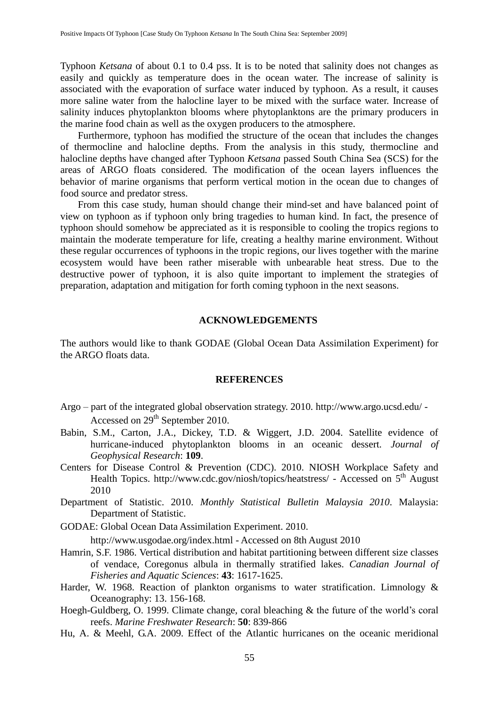Typhoon *Ketsana* of about 0.1 to 0.4 pss. It is to be noted that salinity does not changes as easily and quickly as temperature does in the ocean water. The increase of salinity is associated with the evaporation of surface water induced by typhoon. As a result, it causes more saline water from the halocline layer to be mixed with the surface water. Increase of salinity induces phytoplankton blooms where phytoplanktons are the primary producers in the marine food chain as well as the oxygen producers to the atmosphere.

Furthermore, typhoon has modified the structure of the ocean that includes the changes of thermocline and halocline depths. From the analysis in this study, thermocline and halocline depths have changed after Typhoon *Ketsana* passed South China Sea (SCS) for the areas of ARGO floats considered. The modification of the ocean layers influences the behavior of marine organisms that perform vertical motion in the ocean due to changes of food source and predator stress.

From this case study, human should change their mind-set and have balanced point of view on typhoon as if typhoon only bring tragedies to human kind. In fact, the presence of typhoon should somehow be appreciated as it is responsible to cooling the tropics regions to maintain the moderate temperature for life, creating a healthy marine environment. Without these regular occurrences of typhoons in the tropic regions, our lives together with the marine ecosystem would have been rather miserable with unbearable heat stress. Due to the destructive power of typhoon, it is also quite important to implement the strategies of preparation, adaptation and mitigation for forth coming typhoon in the next seasons.

## **ACKNOWLEDGEMENTS**

The authors would like to thank GODAE (Global Ocean Data Assimilation Experiment) for the ARGO floats data.

## **REFERENCES**

- Argo part of the integrated global observation strategy. 2010.<http://www.argo.ucsd.edu/> Accessed on 29th September 2010.
- Babin, S.M., Carton, J.A., Dickey, T.D. & Wiggert, J.D. 2004. Satellite evidence of hurricane-induced phytoplankton blooms in an oceanic dessert. *Journal of Geophysical Research*: **109**.
- Centers for Disease Control & Prevention (CDC). 2010. NIOSH Workplace Safety and Health Topics.<http://www.cdc.gov/niosh/topics/heatstress/> - Accessed on 5<sup>th</sup> August 2010
- Department of Statistic. 2010. *Monthly Statistical Bulletin Malaysia 2010*. Malaysia: Department of Statistic.
- GODAE: Global Ocean Data Assimilation Experiment. 2010.

<http://www.usgodae.org/index.html> - Accessed on 8th August 2010

- Hamrin, S.F. 1986. Vertical distribution and habitat partitioning between different size classes of vendace, Coregonus albula in thermally stratified lakes. *Canadian Journal of Fisheries and Aquatic Sciences*: **43**: 1617-1625.
- Harder, W. 1968. Reaction of plankton organisms to water stratification. Limnology & Oceanography: 13. 156-168.
- Hoegh-Guldberg, O. 1999. Climate change, coral bleaching & the future of the world's coral reefs. *Marine Freshwater Research*: **50**: 839-866
- Hu, A. & Meehl, G.A. 2009. Effect of the Atlantic hurricanes on the oceanic meridional